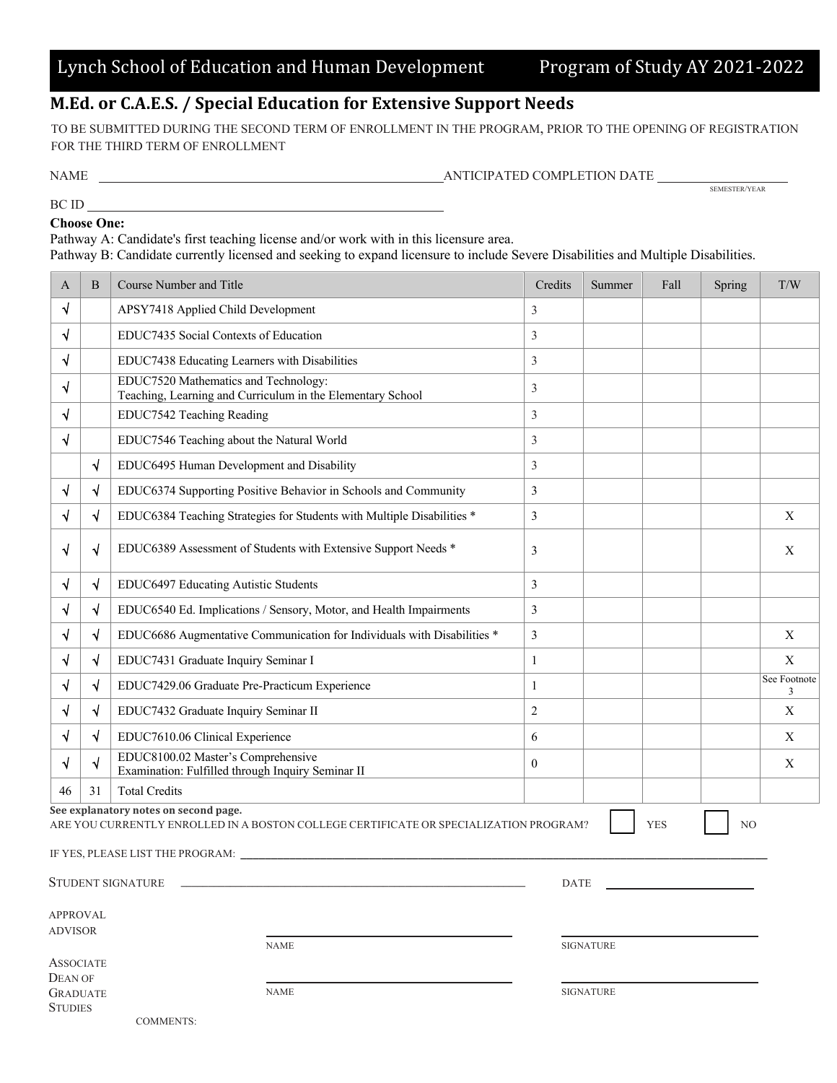## **M.Ed. or C.A.E.S. / Special Education for Extensive Support Needs**

TO BE SUBMITTED DURING THE SECOND TERM OF ENROLLMENT IN THE PROGRAM, PRIOR TO THE OPENING OF REGISTRATION FOR THE THIRD TERM OF ENROLLMENT

BC ID

 $\begin{array}{ll} \textbf{ANTICIPATED COMPLETION DATE} & \textbf{SENESTER/EAR} \\ \end{array}$ 

## **Choose One:**

Pathway A: Candidate's first teaching license and/or work with in this licensure area.

Pathway B: Candidate currently licensed and seeking to expand licensure to include Severe Disabilities and Multiple Disabilities.

| A                                                | B  | Course Number and Title                                                                                                        | Credits      | Summer           | Fall       | Spring         | T/W               |
|--------------------------------------------------|----|--------------------------------------------------------------------------------------------------------------------------------|--------------|------------------|------------|----------------|-------------------|
| √                                                |    | APSY7418 Applied Child Development                                                                                             | 3            |                  |            |                |                   |
| √                                                |    | EDUC7435 Social Contexts of Education                                                                                          | 3            |                  |            |                |                   |
| √                                                |    | EDUC7438 Educating Learners with Disabilities                                                                                  | 3            |                  |            |                |                   |
| √                                                |    | EDUC7520 Mathematics and Technology:<br>Teaching, Learning and Curriculum in the Elementary School                             | 3            |                  |            |                |                   |
| √                                                |    | EDUC7542 Teaching Reading                                                                                                      | 3            |                  |            |                |                   |
| √                                                |    | EDUC7546 Teaching about the Natural World                                                                                      | 3            |                  |            |                |                   |
|                                                  | √  | EDUC6495 Human Development and Disability                                                                                      | 3            |                  |            |                |                   |
| √                                                | √  | EDUC6374 Supporting Positive Behavior in Schools and Community                                                                 | 3            |                  |            |                |                   |
| √                                                | V  | EDUC6384 Teaching Strategies for Students with Multiple Disabilities *                                                         | 3            |                  |            |                | X                 |
| √                                                | √  | EDUC6389 Assessment of Students with Extensive Support Needs *                                                                 | 3            |                  |            |                | X                 |
| √                                                | V  | EDUC6497 Educating Autistic Students                                                                                           | 3            |                  |            |                |                   |
| √                                                | V  | EDUC6540 Ed. Implications / Sensory, Motor, and Health Impairments                                                             | 3            |                  |            |                |                   |
| √                                                | √  | EDUC6686 Augmentative Communication for Individuals with Disabilities *                                                        | 3            |                  |            |                | $\mathbf X$       |
| √                                                | √  | EDUC7431 Graduate Inquiry Seminar I                                                                                            | 1            |                  |            |                | X                 |
| √                                                | V  | EDUC7429.06 Graduate Pre-Practicum Experience                                                                                  | 1            |                  |            |                | See Footnote<br>3 |
| √                                                | V  | EDUC7432 Graduate Inquiry Seminar II                                                                                           | $\sqrt{2}$   |                  |            |                | X                 |
| √                                                | √  | EDUC7610.06 Clinical Experience                                                                                                | 6            |                  |            |                | X                 |
| √                                                | √  | EDUC8100.02 Master's Comprehensive<br>Examination: Fulfilled through Inquiry Seminar II                                        | $\mathbf{0}$ |                  |            |                | X                 |
| 46                                               | 31 | <b>Total Credits</b>                                                                                                           |              |                  |            |                |                   |
|                                                  |    | See explanatory notes on second page.<br>ARE YOU CURRENTLY ENROLLED IN A BOSTON COLLEGE CERTIFICATE OR SPECIALIZATION PROGRAM? |              |                  | <b>YES</b> | N <sub>O</sub> |                   |
|                                                  |    | IF YES, PLEASE LIST THE PROGRAM: __________                                                                                    |              |                  |            |                |                   |
| <b>STUDENT SIGNATURE</b><br><b>DATE</b>          |    |                                                                                                                                |              |                  |            |                |                   |
| <b>APPROVAL</b>                                  |    |                                                                                                                                |              |                  |            |                |                   |
| <b>ADVISOR</b>                                   |    | <b>NAME</b>                                                                                                                    |              | <b>SIGNATURE</b> |            |                |                   |
| <b>ASSOCIATE</b><br><b>DEAN OF</b>               |    |                                                                                                                                |              |                  |            |                |                   |
| <b>NAME</b><br><b>GRADUATE</b><br><b>STUDIES</b> |    |                                                                                                                                |              | <b>SIGNATURE</b> |            |                |                   |

COMMENTS: